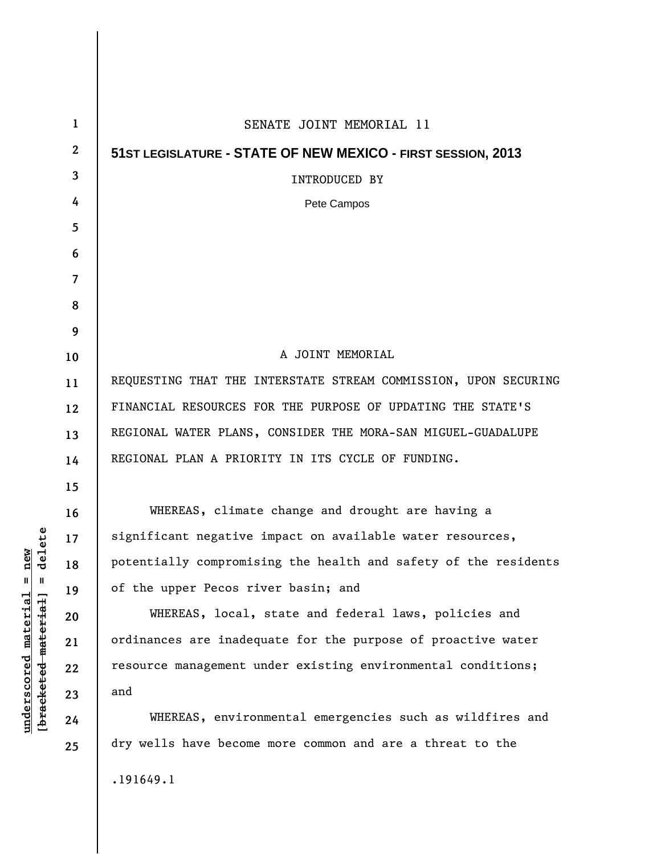| $\mathbf{1}$ | SENATE JOINT MEMORIAL 11                                        |
|--------------|-----------------------------------------------------------------|
| $\mathbf{2}$ | 51ST LEGISLATURE - STATE OF NEW MEXICO - FIRST SESSION, 2013    |
| 3            | <b>INTRODUCED BY</b>                                            |
| 4            | Pete Campos                                                     |
| 5            |                                                                 |
| 6            |                                                                 |
| 7            |                                                                 |
| 8            |                                                                 |
| 9            |                                                                 |
| 10           | A JOINT MEMORIAL                                                |
| 11           | REQUESTING THAT THE INTERSTATE STREAM COMMISSION, UPON SECURING |
| 12           | FINANCIAL RESOURCES FOR THE PURPOSE OF UPDATING THE STATE'S     |
| 13           | REGIONAL WATER PLANS, CONSIDER THE MORA-SAN MIGUEL-GUADALUPE    |
| 14           | REGIONAL PLAN A PRIORITY IN ITS CYCLE OF FUNDING.               |
| 15           |                                                                 |
| 16           | WHEREAS, climate change and drought are having a                |
| 17           | significant negative impact on available water resources,       |
| 18           | potentially compromising the health and safety of the residents |
| 19           | of the upper Pecos river basin; and                             |
| 20           | WHEREAS, local, state and federal laws, policies and            |
| 21           | ordinances are inadequate for the purpose of proactive water    |
| 22           | resource management under existing environmental conditions;    |
| 23           | and                                                             |
| 24           | WHEREAS, environmental emergencies such as wildfires and        |
| 25           | dry wells have become more common and are a threat to the       |
|              | .191649.1                                                       |

 $[bracketeed-materiat] = delete$ **[bracketed material] = delete**  $underscored material = new$ **underscored material = new**

 $\mathsf{I}$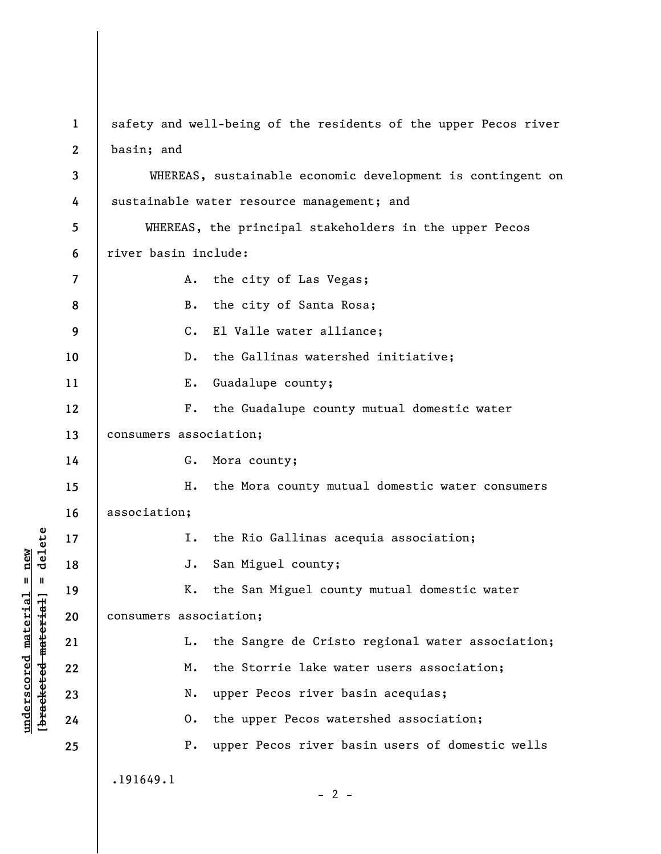**1 2**  safety and well-being of the residents of the upper Pecos river basin; and

**3 4 5 6 7 8 9 10 11 12 13 14 15 16 17 18 19 20 21 22 23 24 25**  WHEREAS, sustainable economic development is contingent on sustainable water resource management; and WHEREAS, the principal stakeholders in the upper Pecos river basin include: A. the city of Las Vegas; B. the city of Santa Rosa; C. El Valle water alliance; D. the Gallinas watershed initiative; E. Guadalupe county; F. the Guadalupe county mutual domestic water consumers association; G. Mora county; H. the Mora county mutual domestic water consumers association; I. the Rio Gallinas acequia association; J. San Miguel county; K. the San Miguel county mutual domestic water consumers association; L. the Sangre de Cristo regional water association; M. the Storrie lake water users association; N. upper Pecos river basin acequias; O. the upper Pecos watershed association; P. upper Pecos river basin users of domestic wells .191649.1

**underscored material = new [bracketed material] = delete**

 $\frac{1}{2}$  intereted material = delete  $underscored material = new$ 

 $- 2 -$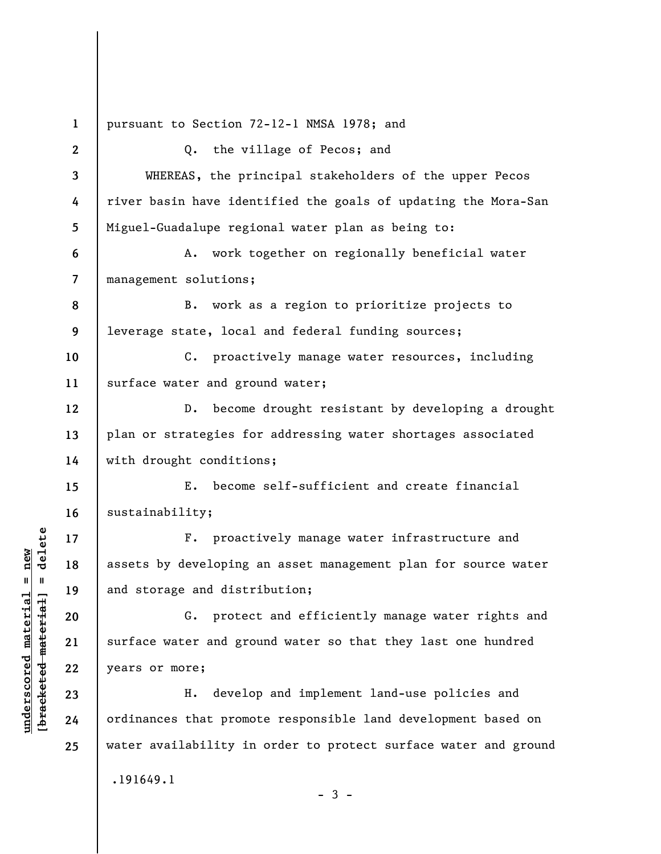**1 2 3 4 5 6 7 8 9 10 11 12 13 14 15 16 17 18 19 20 21 22 23 24 25**  pursuant to Section 72-12-1 NMSA 1978; and Q. the village of Pecos; and WHEREAS, the principal stakeholders of the upper Pecos river basin have identified the goals of updating the Mora-San Miguel-Guadalupe regional water plan as being to: A. work together on regionally beneficial water management solutions; B. work as a region to prioritize projects to leverage state, local and federal funding sources; C. proactively manage water resources, including surface water and ground water; D. become drought resistant by developing a drought plan or strategies for addressing water shortages associated with drought conditions; E. become self-sufficient and create financial sustainability; F. proactively manage water infrastructure and assets by developing an asset management plan for source water and storage and distribution; G. protect and efficiently manage water rights and surface water and ground water so that they last one hundred years or more; H. develop and implement land-use policies and ordinances that promote responsible land development based on water availability in order to protect surface water and ground .191649.1

 $-3 -$ 

**underscored material = new [bracketed material] = delete**

 $\frac{1}{2}$  intereted material = delete  $underscored material = new$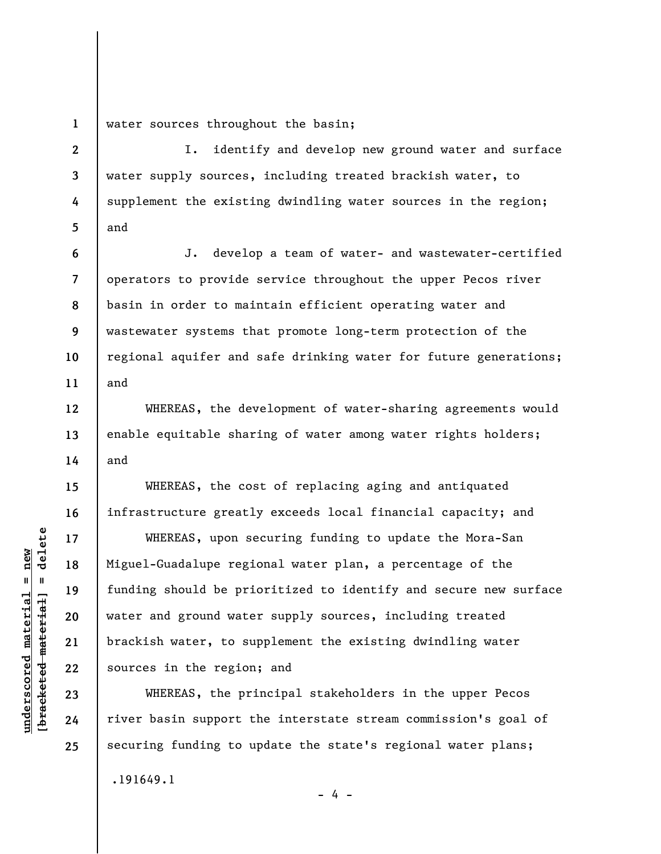**1**  water sources throughout the basin;

**2 3 4 5**  I. identify and develop new ground water and surface water supply sources, including treated brackish water, to supplement the existing dwindling water sources in the region; and

**6 7 8 9 10 11**  J. develop a team of water- and wastewater-certified operators to provide service throughout the upper Pecos river basin in order to maintain efficient operating water and wastewater systems that promote long-term protection of the regional aquifer and safe drinking water for future generations; and

WHEREAS, the development of water-sharing agreements would enable equitable sharing of water among water rights holders; and

WHEREAS, the cost of replacing aging and antiquated infrastructure greatly exceeds local financial capacity; and

WHEREAS, upon securing funding to update the Mora-San Miguel-Guadalupe regional water plan, a percentage of the funding should be prioritized to identify and secure new surface water and ground water supply sources, including treated brackish water, to supplement the existing dwindling water sources in the region; and

WHEREAS, the principal stakeholders in the upper Pecos river basin support the interstate stream commission's goal of securing funding to update the state's regional water plans;

 $- 4 -$ 

.191649.1

 $=$  delete **[bracketed material] = delete**  $underscored material = new$ **underscored material = new** bracketed material **12** 

**13** 

**14** 

**15** 

**16** 

**17** 

**18** 

**19** 

**20** 

**21** 

**22** 

**23** 

**24** 

**25**